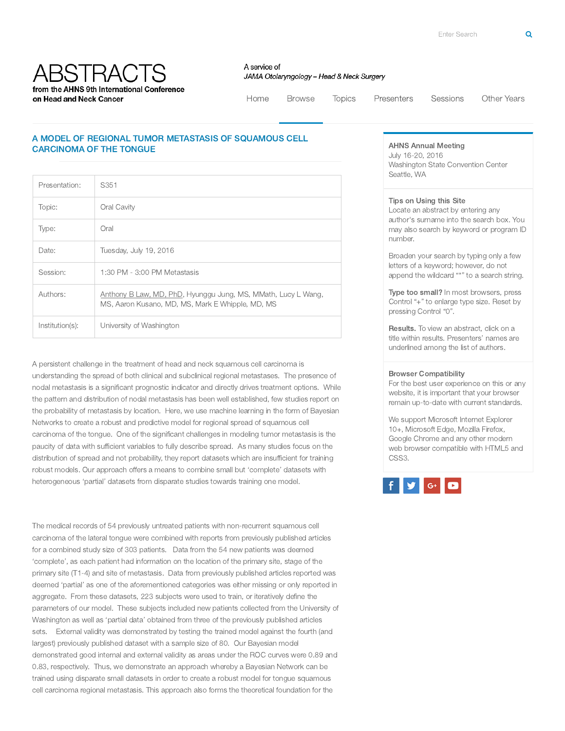**ABSTRACTS** from the AHNS 9th International Conference on Head and Neck Cancer

A service of JAMA Otolaryngology - Head & Neck Surgery

[Home](http://ahns.jnabstracts.com/2016) Browse [Topics](http://ahns.jnabstracts.com/2016/Topics) [Presenters](http://ahns.jnabstracts.com/2016/Presenters) [Sessions](http://ahns.jnabstracts.com/2016/SessionSummary) Other Years

## A MODEL OF REGIONAL TUMOR METASTASIS OF SQUAMOUS CELL CARCINOMA OF THE TONGUE

| Presentation:   | S351                                                                                                              |
|-----------------|-------------------------------------------------------------------------------------------------------------------|
| Topic:          | Oral Cavity                                                                                                       |
| Type:           | Oral                                                                                                              |
| Date:           | Tuesday, July 19, 2016                                                                                            |
| Session:        | 1:30 PM - 3:00 PM Metastasis                                                                                      |
| Authors:        | Anthony B Law, MD, PhD, Hyunggu Jung, MS, MMath, Lucy L Wang,<br>MS, Aaron Kusano, MD, MS, Mark E Whipple, MD, MS |
| Institution(s): | University of Washington                                                                                          |

A persistent challenge in the treatment of head and neck squamous cell carcinoma is understanding the spread of both clinical and subclinical regional metastases. The presence of nodal metastasis is a significant prognostic indicator and directly drives treatment options. While the pattern and distribution of nodal metastasis has been well established, few studies report on the probability of metastasis by location. Here, we use machine learning in the form of Bayesian Networks to create a robust and predictive model for regional spread of squamous cell carcinoma of the tongue. One of the significant challenges in modeling tumor metastasis is the paucity of data with sufficient variables to fully describe spread. As many studies focus on the distribution of spread and not probability, they report datasets which are insufficient for training robust models. Our approach offers a means to combine small but 'complete' datasets with heterogeneous 'partial' datasets from disparate studies towards training one model.

The medical records of 54 previously untreated patients with non-recurrent squamous cell carcinoma of the lateral tongue were combined with reports from previously published articles for a combined study size of 303 patients. Data from the 54 new patients was deemed 'complete', as each patient had information on the location of the primary site, stage of the primary site (T1-4) and site of metastasis. Data from previously published articles reported was deemed 'partial' as one of the aforementioned categories was either missing or only reported in aggregate. From these datasets, 223 subjects were used to train, or iteratively define the parameters of our model. These subjects included new patients collected from the University of Washington as well as 'partial data' obtained from three of the previously published articles sets. External validity was demonstrated by testing the trained model against the fourth (and largest) previously published dataset with a sample size of 80. Our Bayesian model demonstrated good internal and external validity as areas under the ROC curves were 0.89 and 0.83, respectively. Thus, we demonstrate an approach whereby a Bayesian Network can be trained using disparate small datasets in order to create a robust model for tongue squamous cell carcinoma regional metastasis. This approach also forms the theoretical foundation for the

## AHNS Annual Meeting

July 16-20, 2016 Washington State Convention Center Seattle, WA

## Tips on Using this Site

Locate an abstract by entering any author's surname into the search box. You may also search by keyword or program ID number.

Broaden your search by typing only a few letters of a keyword; however, do not append the wildcard "\*" to a search string.

Type too small? In most browsers, press Control "+" to enlarge type size. Reset by pressing Control "0".

Results. To view an abstract, click on a title within results. Presenters' names are underlined among the list of authors.

## Browser Compatibility

For the best user experience on this or any website, it is important that your browser remain up-to-date with current standards.

We support Microsoft Internet Explorer 10+, Microsoft Edge, Mozilla Firefox, Google Chrome and any other modern web browser compatible with HTML5 and CSS3.